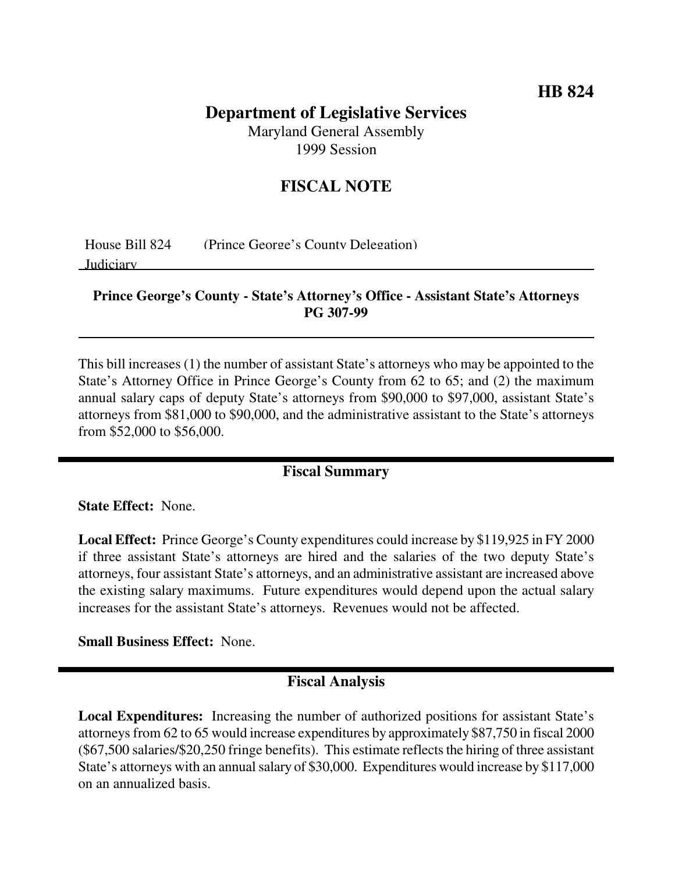# **Department of Legislative Services**

Maryland General Assembly 1999 Session

## **FISCAL NOTE**

House Bill 824 (Prince George's County Delegation)

Judiciary

#### **Prince George's County - State's Attorney's Office - Assistant State's Attorneys PG 307-99**

This bill increases (1) the number of assistant State's attorneys who may be appointed to the State's Attorney Office in Prince George's County from 62 to 65; and (2) the maximum annual salary caps of deputy State's attorneys from \$90,000 to \$97,000, assistant State's attorneys from \$81,000 to \$90,000, and the administrative assistant to the State's attorneys from \$52,000 to \$56,000.

## **Fiscal Summary**

**State Effect:** None.

**Local Effect:** Prince George's County expenditures could increase by \$119,925 in FY 2000 if three assistant State's attorneys are hired and the salaries of the two deputy State's attorneys, four assistant State's attorneys, and an administrative assistant are increased above the existing salary maximums. Future expenditures would depend upon the actual salary increases for the assistant State's attorneys. Revenues would not be affected.

**Small Business Effect:** None.

### **Fiscal Analysis**

**Local Expenditures:** Increasing the number of authorized positions for assistant State's attorneys from 62 to 65 would increase expenditures by approximately \$87,750 in fiscal 2000  $(\$67,500$  salaries/ $\$20,250$  fringe benefits). This estimate reflects the hiring of three assistant State's attorneys with an annual salary of \$30,000. Expenditures would increase by \$117,000 on an annualized basis.